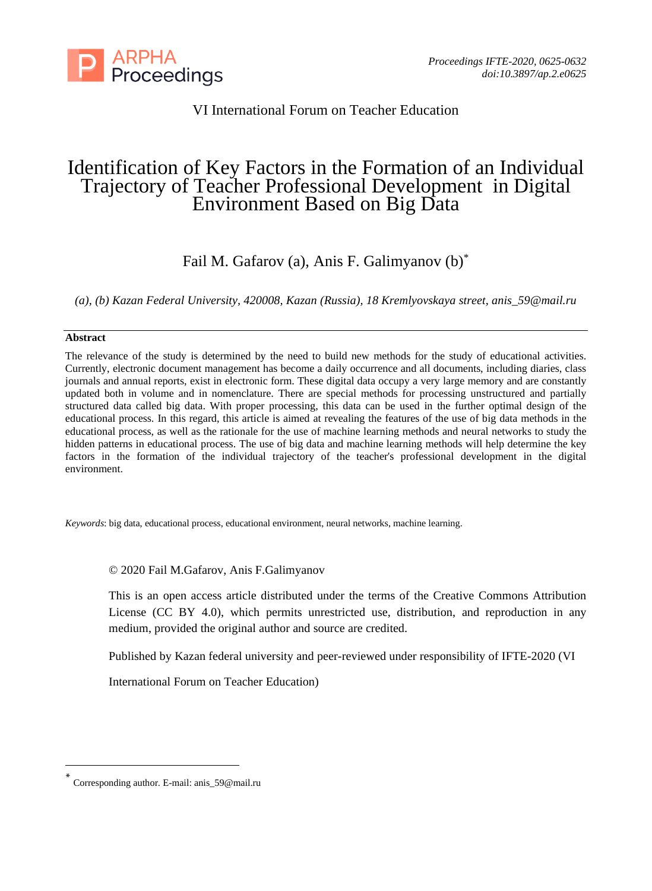

# VI International Forum on Teacher Education

# Identification of Key Factors in the Formation of an Individual Trajectory of Teacher Professional Development in Digital Environment Based on Big Data

Fail M. Gafarov (a), Anis F. Galimyanov (b)\*

*(a), (b) Kazan Federal University, 420008, Kazan (Russia), 18 Kremlyovskaya street, anis\_59@mail.ru*

## **Abstract**

The relevance of the study is determined by the need to build new methods for the study of educational activities. Currently, electronic document management has become a daily occurrence and all documents, including diaries, class journals and annual reports, exist in electronic form. These digital data occupy a very large memory and are constantly updated both in volume and in nomenclature. There are special methods for processing unstructured and partially structured data called big data. With proper processing, this data can be used in the further optimal design of the educational process. In this regard, this article is aimed at revealing the features of the use of big data methods in the educational process, as well as the rationale for the use of machine learning methods and neural networks to study the hidden patterns in educational process. The use of big data and machine learning methods will help determine the key factors in the formation of the individual trajectory of the teacher's professional development in the digital environment.

*Keywords*: big data, educational process, educational environment, neural networks, machine learning.

## © 2020 Fail M.Gafarov, Anis F.Galimyanov

This is an open access article distributed under the terms of the Creative Commons Attribution License (CC BY 4.0), which permits unrestricted use, distribution, and reproduction in any medium, provided the original author and source are credited.

Published by Kazan federal university and peer-reviewed under responsibility of IFTE-2020 (VI

International Forum on Teacher Education)

<sup>\*</sup> Corresponding author. E-mail: anis\_59@mail.ru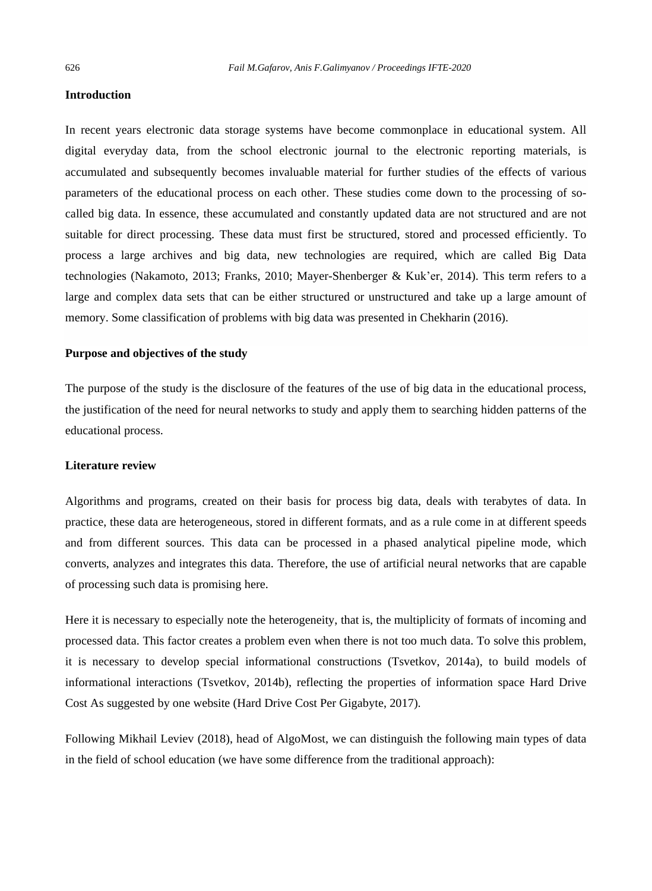#### **Introduction**

In recent years electronic data storage systems have become commonplace in educational system. All digital everyday data, from the school electronic journal to the electronic reporting materials, is accumulated and subsequently becomes invaluable material for further studies of the effects of various parameters of the educational process on each other. These studies come down to the processing of socalled big data. In essence, these accumulated and constantly updated data are not structured and are not suitable for direct processing. These data must first be structured, stored and processed efficiently. To process a large archives and big data, new technologies are required, which are called Big Data technologies (Nakamoto, 2013; Franks, 2010; Mayer-Shenberger & Kuk'er, 2014). This term refers to a large and complex data sets that can be either structured or unstructured and take up a large amount of memory. Some classification of problems with big data was presented in Chekharin (2016).

#### **Purpose and objectives of the study**

The purpose of the study is the disclosure of the features of the use of big data in the educational process, the justification of the need for neural networks to study and apply them to searching hidden patterns of the educational process.

#### **Literature review**

Algorithms and programs, created on their basis for process big data, deals with terabytes of data. In practice, these data are heterogeneous, stored in different formats, and as a rule come in at different speeds and from different sources. This data can be processed in a phased analytical pipeline mode, which converts, analyzes and integrates this data. Therefore, the use of artificial neural networks that are capable of processing such data is promising here.

Here it is necessary to especially note the heterogeneity, that is, the multiplicity of formats of incoming and processed data. This factor creates a problem even when there is not too much data. To solve this problem, it is necessary to develop special informational constructions (Tsvetkov, 2014a), to build models of informational interactions (Tsvetkov, 2014b), reflecting the properties of information space Hard Drive Cost As suggested by one website (Hard Drive Cost Per Gigabyte, 2017).

Following Mikhail Leviev (2018), head of AlgoMost, we can distinguish the following main types of data in the field of school education (we have some difference from the traditional approach):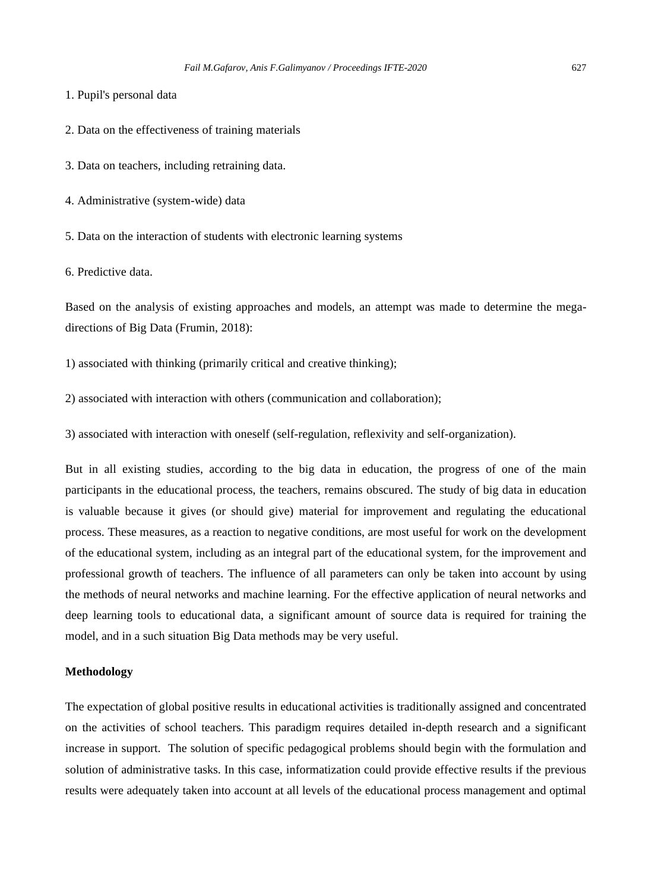1. Pupil's personal data

2. Data on the effectiveness of training materials

3. Data on teachers, including retraining data.

4. Administrative (system-wide) data

5. Data on the interaction of students with electronic learning systems

6. Predictive data.

Based on the analysis of existing approaches and models, an attempt was made to determine the megadirections of Big Data (Frumin, 2018):

1) associated with thinking (primarily critical and creative thinking);

2) associated with interaction with others (communication and collaboration);

3) associated with interaction with oneself (self-regulation, reflexivity and self-organization).

But in all existing studies, according to the big data in education, the progress of one of the main participants in the educational process, the teachers, remains obscured. The study of big data in education is valuable because it gives (or should give) material for improvement and regulating the educational process. These measures, as a reaction to negative conditions, are most useful for work on the development of the educational system, including as an integral part of the educational system, for the improvement and professional growth of teachers. The influence of all parameters can only be taken into account by using the methods of neural networks and machine learning. For the effective application of neural networks and deep learning tools to educational data, a significant amount of source data is required for training the model, and in a such situation Big Data methods may be very useful.

#### **Methodology**

The expectation of global positive results in educational activities is traditionally assigned and concentrated on the activities of school teachers. This paradigm requires detailed in-depth research and a significant increase in support. The solution of specific pedagogical problems should begin with the formulation and solution of administrative tasks. In this case, informatization could provide effective results if the previous results were adequately taken into account at all levels of the educational process management and optimal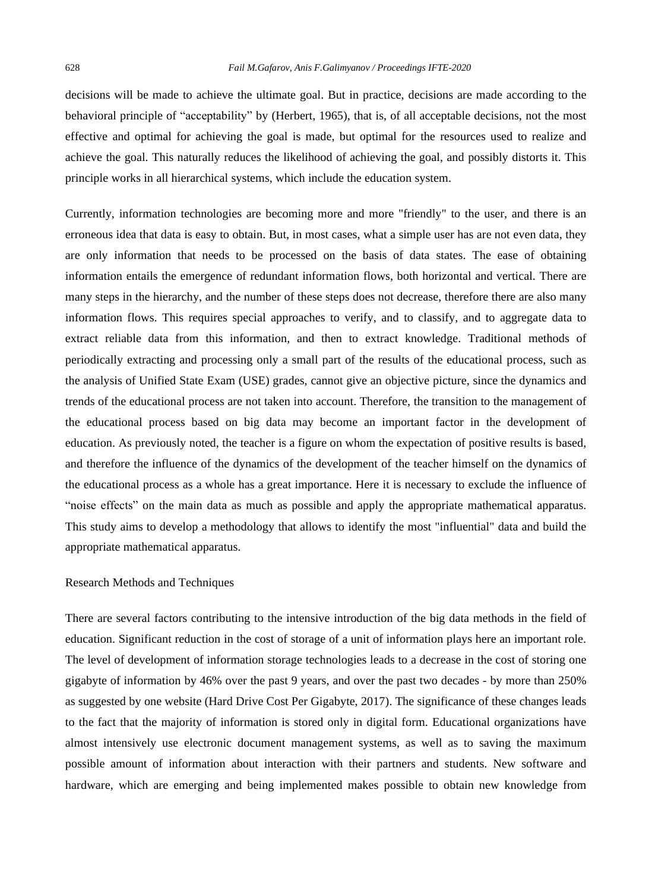decisions will be made to achieve the ultimate goal. But in practice, decisions are made according to the behavioral principle of "acceptability" by (Herbert, 1965), that is, of all acceptable decisions, not the most effective and optimal for achieving the goal is made, but optimal for the resources used to realize and achieve the goal. This naturally reduces the likelihood of achieving the goal, and possibly distorts it. This principle works in all hierarchical systems, which include the education system.

Currently, information technologies are becoming more and more "friendly" to the user, and there is an erroneous idea that data is easy to obtain. But, in most cases, what a simple user has are not even data, they are only information that needs to be processed on the basis of data states. The ease of obtaining information entails the emergence of redundant information flows, both horizontal and vertical. There are many steps in the hierarchy, and the number of these steps does not decrease, therefore there are also many information flows. This requires special approaches to verify, and to classify, and to aggregate data to extract reliable data from this information, and then to extract knowledge. Traditional methods of periodically extracting and processing only a small part of the results of the educational process, such as the analysis of Unified State Exam (USE) grades, cannot give an objective picture, since the dynamics and trends of the educational process are not taken into account. Therefore, the transition to the management of the educational process based on big data may become an important factor in the development of education. As previously noted, the teacher is a figure on whom the expectation of positive results is based, and therefore the influence of the dynamics of the development of the teacher himself on the dynamics of the educational process as a whole has a great importance. Here it is necessary to exclude the influence of "noise effects" on the main data as much as possible and apply the appropriate mathematical apparatus. This study aims to develop a methodology that allows to identify the most "influential" data and build the appropriate mathematical apparatus.

#### Research Methods and Techniques

There are several factors contributing to the intensive introduction of the big data methods in the field of education. Significant reduction in the cost of storage of a unit of information plays here an important role. The level of development of information storage technologies leads to a decrease in the cost of storing one gigabyte of information by 46% over the past 9 years, and over the past two decades - by more than 250% as suggested by one website (Hard Drive Cost Per Gigabyte, 2017). The significance of these changes leads to the fact that the majority of information is stored only in digital form. Educational organizations have almost intensively use electronic document management systems, as well as to saving the maximum possible amount of information about interaction with their partners and students. New software and hardware, which are emerging and being implemented makes possible to obtain new knowledge from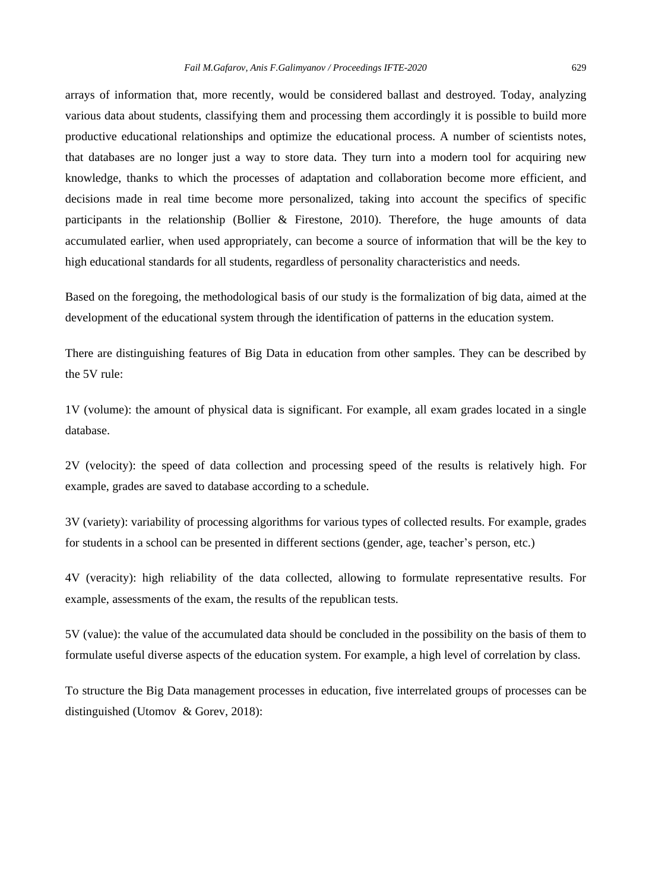arrays of information that, more recently, would be considered ballast and destroyed. Today, analyzing various data about students, classifying them and processing them accordingly it is possible to build more productive educational relationships and optimize the educational process. A number of scientists notes, that databases are no longer just a way to store data. They turn into a modern tool for acquiring new knowledge, thanks to which the processes of adaptation and collaboration become more efficient, and decisions made in real time become more personalized, taking into account the specifics of specific participants in the relationship (Bollier & Firestone, 2010). Therefore, the huge amounts of data accumulated earlier, when used appropriately, can become a source of information that will be the key to high educational standards for all students, regardless of personality characteristics and needs.

Based on the foregoing, the methodological basis of our study is the formalization of big data, aimed at the development of the educational system through the identification of patterns in the education system.

There are distinguishing features of Big Data in education from other samples. They can be described by the 5V rule:

1V (volume): the amount of physical data is significant. For example, all exam grades located in a single database.

2V (velocity): the speed of data collection and processing speed of the results is relatively high. For example, grades are saved to database according to a schedule.

3V (variety): variability of processing algorithms for various types of collected results. For example, grades for students in a school can be presented in different sections (gender, age, teacher's person, etc.)

4V (veracity): high reliability of the data collected, allowing to formulate representative results. For example, assessments of the exam, the results of the republican tests.

5V (value): the value of the accumulated data should be concluded in the possibility on the basis of them to formulate useful diverse aspects of the education system. For example, a high level of correlation by class.

To structure the Big Data management processes in education, five interrelated groups of processes can be distinguished (Utomov & Gorev, 2018):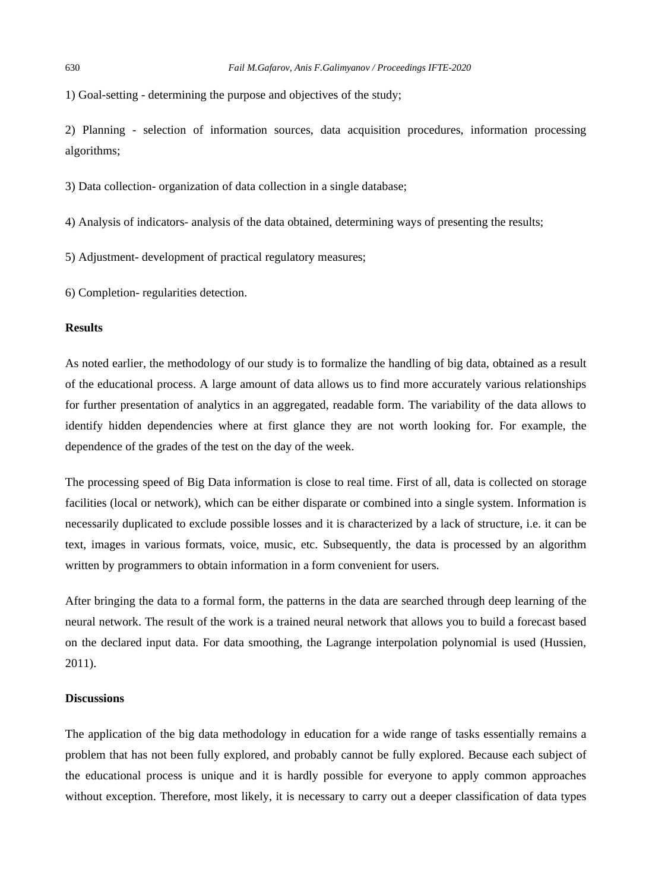1) Goal-setting - determining the purpose and objectives of the study;

2) Planning - selection of information sources, data acquisition procedures, information processing algorithms;

3) Data collection- organization of data collection in a single database;

- 4) Analysis of indicators- analysis of the data obtained, determining ways of presenting the results;
- 5) Adjustment- development of practical regulatory measures;

6) Completion- regularities detection.

#### **Results**

As noted earlier, the methodology of our study is to formalize the handling of big data, obtained as a result of the educational process. A large amount of data allows us to find more accurately various relationships for further presentation of analytics in an aggregated, readable form. The variability of the data allows to identify hidden dependencies where at first glance they are not worth looking for. For example, the dependence of the grades of the test on the day of the week.

The processing speed of Big Data information is close to real time. First of all, data is collected on storage facilities (local or network), which can be either disparate or combined into a single system. Information is necessarily duplicated to exclude possible losses and it is characterized by a lack of structure, i.e. it can be text, images in various formats, voice, music, etc. Subsequently, the data is processed by an algorithm written by programmers to obtain information in a form convenient for users.

After bringing the data to a formal form, the patterns in the data are searched through deep learning of the neural network. The result of the work is a trained neural network that allows you to build a forecast based on the declared input data. For data smoothing, the Lagrange interpolation polynomial is used (Hussien, 2011).

#### **Discussions**

The application of the big data methodology in education for a wide range of tasks essentially remains a problem that has not been fully explored, and probably cannot be fully explored. Because each subject of the educational process is unique and it is hardly possible for everyone to apply common approaches without exception. Therefore, most likely, it is necessary to carry out a deeper classification of data types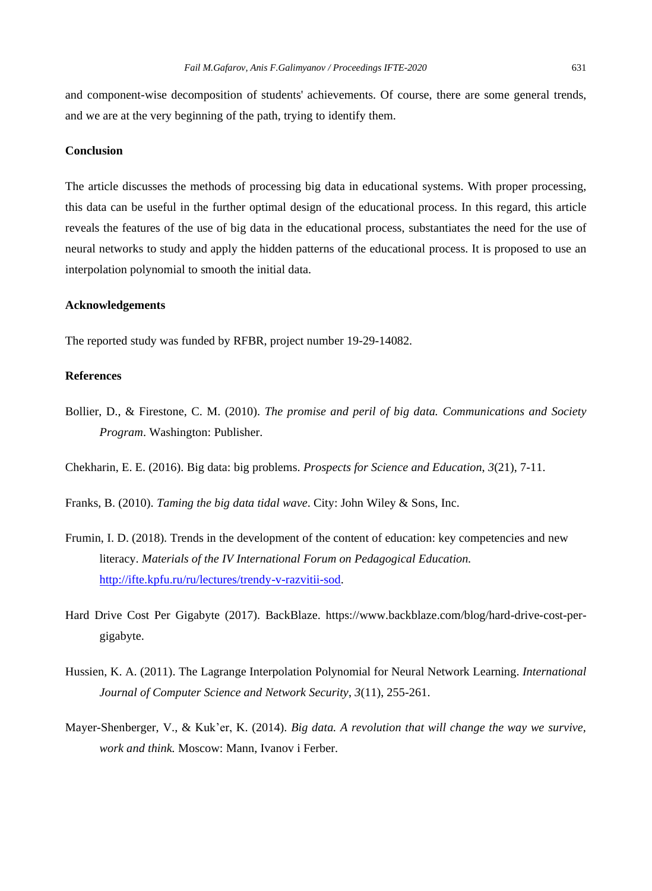and component-wise decomposition of students' achievements. Of course, there are some general trends, and we are at the very beginning of the path, trying to identify them.

#### **Conclusion**

The article discusses the methods of processing big data in educational systems. With proper processing, this data can be useful in the further optimal design of the educational process. In this regard, this article reveals the features of the use of big data in the educational process, substantiates the need for the use of neural networks to study and apply the hidden patterns of the educational process. It is proposed to use an interpolation polynomial to smooth the initial data.

#### **Acknowledgements**

The reported study was funded by RFBR, project number 19-29-14082.

# **References**

Bollier, D., & Firestone, C. M. (2010). *The promise and peril of big data. Communications and Society Program*. Washington: Publisher.

Chekharin, E. E. (2016). Big data: big problems. *Prospects for Science and Education*, *3*(21), 7-11.

Franks, B. (2010). *Taming the big data tidal wave*. City: John Wiley & Sons, Inc.

- Frumin, I. D. (2018). Trends in the development of the content of education: key competencies and new literacy. *Materials of the IV International Forum on Pedagogical Education.* [http://ifte.kpfu.ru/ru/lectures/trendy-v-razvitii-sod.](http://ifte.kpfu.ru/ru/lectures/trendy-v-razvitii-sod)
- Hard Drive Cost Per Gigabyte (2017). BackBlaze. https://www.backblaze.com/blog/hard-drive-cost-pergigabyte.
- Hussien, K. A. (2011). The Lagrange Interpolation Polynomial for Neural Network Learning. *International Journal of Computer Science and Network Security*, *3*(11), 255-261.
- Mayer-Shenberger, V., & Kuk'er, K. (2014). *Big data. A revolution that will change the way we survive, work and think.* Moscow: Mann, Ivanov i Ferber.